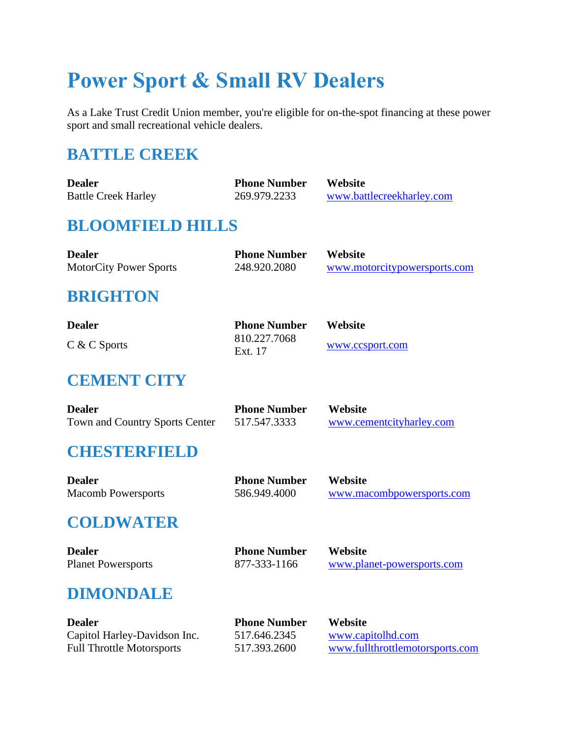# **Power Sport & Small RV Dealers**

As a Lake Trust Credit Union member, you're eligible for on-the-spot financing at these power sport and small recreational vehicle dealers.

# **BATTLE CREEK**

| <b>Dealer</b>                 | <b>Phone Number</b> | Website                      |
|-------------------------------|---------------------|------------------------------|
| <b>Battle Creek Harley</b>    | 269.979.2233        | www.battlecreekharley.com    |
| <b>BLOOMFIELD HILLS</b>       |                     |                              |
| <b>Dealer</b>                 | <b>Phone Number</b> | Website                      |
| <b>MotorCity Power Sports</b> | 248.920.2080        | www.motorcitypowersports.com |

#### **BRIGHTON**

| <b>Dealer</b>  | <b>Phone Number</b> | Website         |
|----------------|---------------------|-----------------|
| $C & C$ Sports | 810.227.7068        | www.ccsport.com |
|                | Ext. 17             |                 |

#### **CEMENT CITY**

| <b>Dealer</b>                  | <b>Phone Number</b> | <b>Website</b>           |
|--------------------------------|---------------------|--------------------------|
| Town and Country Sports Center | 517.547.3333        | www.cementcityharley.com |

# **CHESTERFIELD**

| <b>Dealer</b>             | <b>Phone Number</b> | <b>Website</b>            |
|---------------------------|---------------------|---------------------------|
| <b>Macomb Powersports</b> | 586.949.4000        | www.macombpowersports.com |

# **COLDWATER**

| <b>Dealer</b>             | <b>Phone Number</b> | Website                    |
|---------------------------|---------------------|----------------------------|
| <b>Planet Powersports</b> | 877-333-1166        | www.planet-powersports.com |

#### **DIMONDALE**

| Dealer                       | <b>Phone Number</b> | <b>Website</b>                  |
|------------------------------|---------------------|---------------------------------|
| Capitol Harley-Davidson Inc. | 517.646.2345        | www.capitolhd.com               |
| Full Throttle Motorsports    | 517.393.2600        | www.fullthrottlemotorsports.com |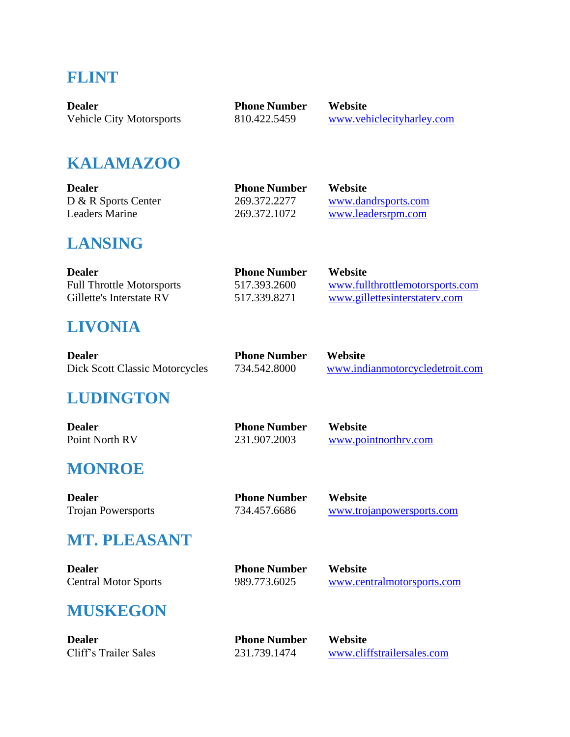#### **FLINT**

| <b>Dealer</b>                   | <b>Phone Number</b> | Website                   |
|---------------------------------|---------------------|---------------------------|
| <b>Vehicle City Motorsports</b> | 810.422.5459        | www.vehiclecityharley.com |

#### **KALAMAZOO**

| <b>Dealer</b>         | <b>Phone Number</b> | <b>Website</b>      |
|-----------------------|---------------------|---------------------|
| D & R Sports Center   | 269.372.2277        | www.dandrsports.com |
| <b>Leaders Marine</b> | 269.372.1072        | www.leadersrpm.com  |

#### **LANSING**

| <b>Dealer</b>                    | <b>Phone Number</b> | <b>Website</b>                  |
|----------------------------------|---------------------|---------------------------------|
| <b>Full Throttle Motorsports</b> | 517.393.2600        | www.fullthrottlemotorsports.com |
| Gillette's Interstate RV         | 517.339.8271        | www.gillettesinterstatery.com   |

# **LIVONIA**

| <b>Dealer</b>                  | <b>Phone Number</b> | Website                         |
|--------------------------------|---------------------|---------------------------------|
| Dick Scott Classic Motorcycles | 734.542.8000        | www.indianmotorcycledetroit.com |

# **LUDINGTON**

| <b>Dealer</b>  | <b>Phone Number</b> | <b>Website</b>       |
|----------------|---------------------|----------------------|
| Point North RV | 231.907.2003        | www.pointnorthry.com |

#### **MONROE**

**Dealer Phone Number Website**

| <b>Phone Number</b> |  |
|---------------------|--|
| 734.457.6686        |  |

Trojan Powersports 734.457.6686 [www.trojanpowersports.com](http://www.trojanpowersports.com/)

#### **MT. PLEASANT**

**Dealer Phone Number Website**

| <b>Phone Number</b> |
|---------------------|
| 989.773.6025        |

[www.centralmotorsports.com](https://www.centralmotorsports.com/)

# **MUSKEGON**

**Dealer Phone Number Website**

| <b>Phone Number</b> |
|---------------------|
| 231.739.1474        |

Cliff's Trailer Sales 231.739.1474 [www.cliffstrailersales.com](http://www.cliffstrailersales.com/)